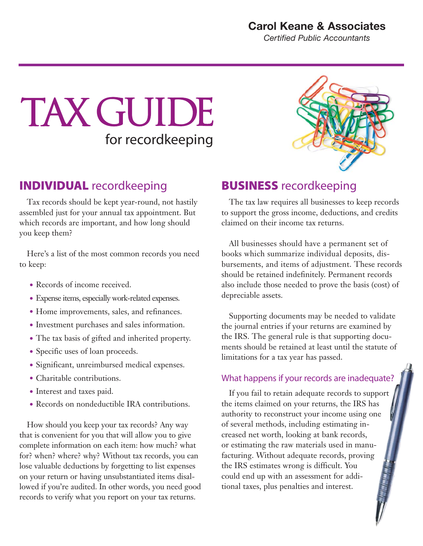#### **Carol Keane & Associates**

*Certified Public Accountants*

# TAX GUIDE for recordkeeping

## INDIVIDUAL recordkeeping

Tax records should be kept year-round, not hastily assembled just for your annual tax appointment. But which records are important, and how long should you keep them?

Here's a list of the most common records you need to keep:

- Records of income received.
- Expense items, especially work-related expenses.
- Home improvements, sales, and refinances.
- Investment purchases and sales information.
- The tax basis of gifted and inherited property.
- Specific uses of loan proceeds.
- Significant, unreimbursed medical expenses.
- Charitable contributions.
- Interest and taxes paid.
- Records on nondeductible IRA contributions.

How should you keep your tax records? Any way that is convenient for you that will allow you to give complete information on each item: how much? what for? when? where? why? Without tax records, you can lose valuable deductions by forgetting to list expenses on your return or having unsubstantiated items disallowed if you're audited. In other words, you need good records to verify what you report on your tax returns.



### BUSINESS recordkeeping

The tax law requires all businesses to keep records to support the gross income, deductions, and credits claimed on their income tax returns.

All businesses should have a permanent set of books which summarize individual deposits, disbursements, and items of adjustment. These records should be retained indefinitely. Permanent records also include those needed to prove the basis (cost) of depreciable assets.

Supporting documents may be needed to validate the journal entries if your returns are examined by the IRS. The general rule is that supporting documents should be retained at least until the statute of limitations for a tax year has passed.

#### What happens if your records are inadequate?

If you fail to retain adequate records to support the items claimed on your returns, the IRS has authority to reconstruct your income using one of several methods, including estimating increased net worth, looking at bank records, or estimating the raw materials used in manufacturing. Without adequate records, proving the IRS estimates wrong is difficult. You could end up with an assessment for additional taxes, plus penalties and interest.